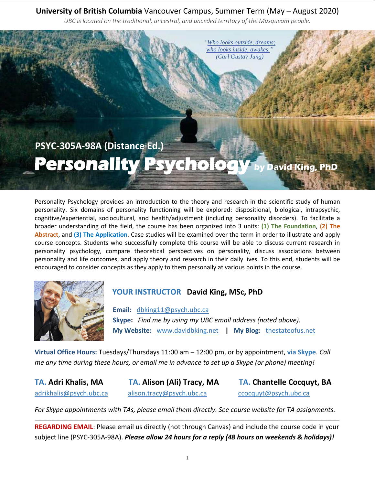## **University of British Columbia** Vancouver Campus, Summer Term (May – August 2020)

*UBC is located on the traditional, ancestral, and unceded territory of the Musqueam people.*



Personality Psychology provides an introduction to the theory and research in the scientific study of human personality. Six domains of personality functioning will be explored: dispositional, biological, intrapsychic, cognitive/experiential, sociocultural, and health/adjustment (including personality disorders). To facilitate a broader understanding of the field, the course has been organized into 3 units: **(1) The Foundation**, **(2) The Abstract**, and **(3) The Application**. Case studies will be examined over the term in order to illustrate and apply course concepts. Students who successfully complete this course will be able to discuss current research in personality psychology, compare theoretical perspectives on personality, discuss associations between personality and life outcomes, and apply theory and research in their daily lives. To this end, students will be encouraged to consider concepts as they apply to them personally at various points in the course.



# **YOUR INSTRUCTOR David King, MSc, PhD**

**Email:** [dbking11@psych.ubc.ca](mailto:dbking11@psych.ubc.ca)  **Skype:** *Find me by using my UBC email address (noted above).* **My Website:** [www.davidbking.net](http://www.davidbking.net/) **| My Blog:** [thestateofus.net](http://www.thestateofus.net/)

**Virtual Office Hours:** Tuesdays/Thursdays 11:00 am – 12:00 pm, or by appointment, **via Skype**. *Call me any time during these hours, or email me in advance to set up a Skype (or phone) meeting!*

**TA. Adri Khalis, MA TA. Alison (Ali) Tracy, MA TA. Chantelle Cocquyt, BA** [adrikhalis@psych.ubc.ca](mailto:adrikhalis@psych.ubc.ca) [alison.tracy@psych.ubc.ca](mailto:alison.tracy@psych.ubc.ca) [ccocquyt@psych.ubc.ca](mailto:ccocquyt@psych.ubc.ca)

*For Skype appointments with TAs, please email them directly. See course website for TA assignments.* \_\_\_\_\_\_\_\_\_\_\_\_\_\_\_\_\_\_\_\_\_\_\_\_\_\_\_\_\_\_\_\_\_\_\_\_\_\_\_\_\_\_\_\_\_\_\_\_\_\_\_\_\_\_\_\_\_\_\_\_\_\_\_\_\_\_\_\_\_\_\_\_\_\_\_\_\_\_\_\_\_\_\_\_\_\_\_\_\_\_\_\_\_\_\_\_\_\_\_\_\_\_\_\_\_\_\_\_\_\_\_\_\_\_\_\_\_\_\_\_\_\_\_\_\_

**REGARDING EMAIL**: Please email us directly (not through Canvas) and include the course code in your subject line (PSYC-305A-98A). *Please allow 24 hours for a reply (48 hours on weekends & holidays)!*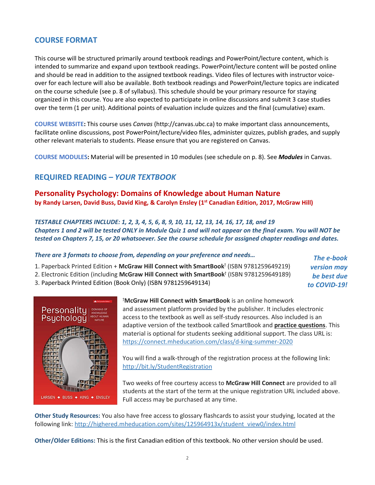#### **COURSE FORMAT**

This course will be structured primarily around textbook readings and PowerPoint/lecture content, which is intended to summarize and expand upon textbook readings. PowerPoint/lecture content will be posted online and should be read in addition to the assigned textbook readings. Video files of lectures with instructor voiceover for each lecture will also be available. Both textbook readings and PowerPoint/lecture topics are indicated on the course schedule (see p. 8 of syllabus). This schedule should be your primary resource for staying organized in this course. You are also expected to participate in online discussions and submit 3 case studies over the term (1 per unit). Additional points of evaluation include quizzes and the final (cumulative) exam.

**COURSE WEBSITE:** This course uses *Canvas* (http://canvas.ubc.ca) to make important class announcements, facilitate online discussions, post PowerPoint/lecture/video files, administer quizzes, publish grades, and supply other relevant materials to students. Please ensure that you are registered on Canvas.

**COURSE MODULES:** Material will be presented in 10 modules (see schedule on p. 8). See *Modules* in Canvas.

#### **REQUIRED READING** *– YOUR TEXTBOOK*

**Personality Psychology: Domains of Knowledge about Human Nature by Randy Larsen, David Buss, David King, & Carolyn Ensley (1st Canadian Edition, 2017, McGraw Hill)**

*TESTABLE CHAPTERS INCLUDE: 1, 2, 3, 4, 5, 6, 8, 9, 10, 11, 12, 13, 14, 16, 17, 18, and 19 Chapters 1 and 2 will be tested ONLY in Module Quiz 1 and will not appear on the final exam. You will NOT be tested on Chapters 7, 15, or 20 whatsoever. See the course schedule for assigned chapter readings and dates.*

| There are 3 formats to choose from, depending on your preference and needs                            | The e-book         |
|-------------------------------------------------------------------------------------------------------|--------------------|
| 1. Paperback Printed Edition + McGraw Hill Connect with SmartBook <sup>†</sup> (ISBN 9781259649219)   | <b>version may</b> |
| 2. Electronic Edition (including McGraw Hill Connect with SmartBook <sup>†</sup> (ISBN 9781259649189) | be best due        |
| 3. Paperback Printed Edition (Book Only) (ISBN 9781259649134)                                         | to COVID-19!       |



<sup>ϯ</sup>**McGraw Hill Connect with SmartBook** is an online homework and assessment platform provided by the publisher. It includes electronic access to the textbook as well as self-study resources. Also included is an adaptive version of the textbook called SmartBook and **practice questions**. This material is optional for students seeking additional support. The class URL is: <https://connect.mheducation.com/class/d-king-summer-2020>

You will find a walk-through of the registration process at the following link: <http://bit.ly/StudentRegistration>

Two weeks of free courtesy access to **McGraw Hill Connect** are provided to all students at the start of the term at the unique registration URL included above. Full access may be purchased at any time.

**Other Study Resources:** You also have free access to glossary flashcards to assist your studying, located at the following link: [http://highered.mheducation.com/sites/125964913x/student\\_view0/index.html](http://highered.mheducation.com/sites/125964913x/student_view0/index.html)

**Other/Older Editions:** This is the first Canadian edition of this textbook. No other version should be used.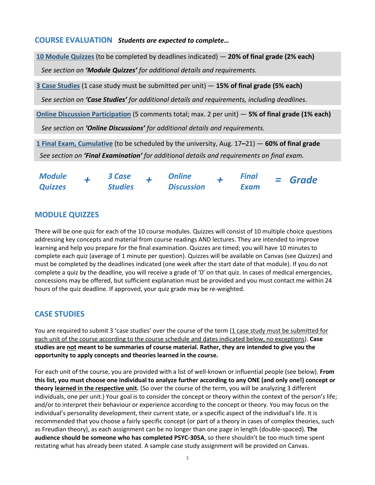#### **COURSE EVALUATION** *Students are expected to complete…*

**10 Module Quizzes** (to be completed by deadlines indicated) — **20% of final grade (2% each)** *See section on 'Module Quizzes' for additional details and requirements.*

**3 Case Studies** (1 case study must be submitted per unit) — **15% of final grade (5% each)**

*See section on 'Case Studies' for additional details and requirements, including deadlines.*

**Online Discussion Participation** (5 comments total; max. 2 per unit) — **5% of final grade (1% each)** *See section on 'Online Discussions' for additional details and requirements.*

**1 Final Exam, Cumulative** (to be scheduled by the university, Aug. 17**–**21) — **60% of final grade** *See section on 'Final Examination' for additional details and requirements on final exam.*

| <b>Module</b>  | 3 Case         | <b>Online</b>     | <b>Final</b> |  | $=$ Grade |
|----------------|----------------|-------------------|--------------|--|-----------|
| <b>Quizzes</b> | <b>Studies</b> | <b>Discussion</b> | <b>Exam</b>  |  |           |

#### **MODULE QUIZZES**

There will be one quiz for each of the 10 course modules. Quizzes will consist of 10 multiple choice questions addressing key concepts and material from course readings AND lectures. They are intended to improve learning and help you prepare for the final examination. Quizzes are timed; you will have 10 minutes to complete each quiz (average of 1 minute per question). Quizzes will be available on Canvas (see *Quizzes*) and must be completed by the deadlines indicated (one week after the start date of that module). If you do not complete a quiz by the deadline, you will receive a grade of '0' on that quiz. In cases of medical emergencies, concessions may be offered, but sufficient explanation must be provided and you must contact me within 24 hours of the quiz deadline. If approved, your quiz grade may be re-weighted.

### **CASE STUDIES**

You are required to submit 3 'case studies' over the course of the term (1 case study must be submitted for each unit of the course according to the course schedule and dates indicated below, no exceptions). **Case studies are not meant to be summaries of course material. Rather, they are intended to give you the opportunity to apply concepts and theories learned in the course.**

For each unit of the course, you are provided with a list of well-known or influential people (see below). **From this list, you must choose one individual to analyze further according to any ONE (and only one!) concept or theory learned in the respective unit.** (So over the course of the term, you will be analyzing 3 different individuals, one per unit.) Your goal is to consider the concept or theory within the context of the person's life; and/or to interpret their behaviour or experience according to the concept or theory. You may focus on the individual's personality development, their current state, or a specific aspect of the individual's life. It is recommended that you choose a fairly specific concept (or part of a theory in cases of complex theories, such as Freudian theory), as each assignment can be no longer than one page in length (double-spaced). **The audience should be someone who has completed PSYC-305A**, so there shouldn't be too much time spent restating what has already been stated. A sample case study assignment will be provided on Canvas.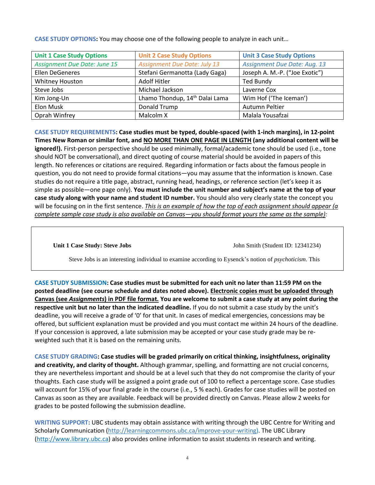| <b>Unit 1 Case Study Options</b>    | <b>Unit 2 Case Study Options</b>           | <b>Unit 3 Case Study Options</b>    |
|-------------------------------------|--------------------------------------------|-------------------------------------|
| <b>Assignment Due Date: June 15</b> | <b>Assignment Due Date: July 13</b>        | <b>Assignment Due Date: Aug. 13</b> |
| <b>Ellen DeGeneres</b>              | Stefani Germanotta (Lady Gaga)             | Joseph A. M.-P. ("Joe Exotic")      |
| Whitney Houston                     | Adolf Hitler                               | <b>Ted Bundy</b>                    |
| Steve Jobs                          | Michael Jackson                            | Laverne Cox                         |
| Kim Jong-Un                         | Lhamo Thondup, 14 <sup>th</sup> Dalai Lama | Wim Hof ('The Iceman')              |
| Elon Musk                           | Donald Trump                               | Autumn Peltier                      |
| Oprah Winfrey                       | Malcolm X                                  | Malala Yousafzai                    |

**CASE STUDY OPTIONS:** You may choose one of the following people to analyze in each unit…

**CASE STUDY REQUIREMENTS: Case studies must be typed, double-spaced (with 1-inch margins), in 12-point Times New Roman or similar font, and NO MORE THAN ONE PAGE IN LENGTH (any additional content will be ignored!).** First-person perspective should be used minimally, formal/academic tone should be used (i.e., tone should NOT be conversational), and direct quoting of course material should be avoided in papers of this length. No references or citations are required. Regarding information or facts about the famous people in question, you do not need to provide formal citations—you may assume that the information is known. Case studies do not require a title page, abstract, running head, headings, or reference section (let's keep it as simple as possible—one page only). **You must include the unit number and subject's name at the top of your case study along with your name and student ID number.** You should also very clearly state the concept you will be focusing on in the first sentence. *This is an example of how the top of each assignment should appear (a complete sample case study is also available on Canvas—you should format yours the same as the sample):*

**Unit 1 Case Study: Steve Jobs** John Smith (Student ID: 12341234)

Steve Jobs is an interesting individual to examine according to Eysenck's notion of *psychoticism*. This

**CASE STUDY SUBMISSION: Case studies must be submitted for each unit no later than 11:59 PM on the posted deadline (see course schedule and dates noted above). Electronic copies must be uploaded through Canvas (see** *Assignments***) in PDF file format. You are welcome to submit a case study at any point during the respective unit but no later than the indicated deadline.** If you do not submit a case study by the unit's deadline, you will receive a grade of '0' for that unit. In cases of medical emergencies, concessions may be offered, but sufficient explanation must be provided and you must contact me within 24 hours of the deadline. If your concession is approved, a late submission may be accepted or your case study grade may be reweighted such that it is based on the remaining units.

**CASE STUDY GRADING: Case studies will be graded primarily on critical thinking, insightfulness, originality and creativity, and clarity of thought.** Although grammar, spelling, and formatting are not crucial concerns, they are nevertheless important and should be at a level such that they do not compromise the clarity of your thoughts. Each case study will be assigned a point grade out of 100 to reflect a percentage score. Case studies will account for 15% of your final grade in the course (i.e., 5 % each). Grades for case studies will be posted on Canvas as soon as they are available. Feedback will be provided directly on Canvas. Please allow 2 weeks for grades to be posted following the submission deadline.

**WRITING SUPPORT:** UBC students may obtain assistance with writing through the UBC Centre for Writing and Scholarly Communication [\(http://learningcommons.ubc.ca/improve-your-writing\)](http://learningcommons.ubc.ca/improve-your-writing). The UBC Library [\(http://www.library.ubc.ca\)](http://www.library.ubc.ca/) also provides online information to assist students in research and writing.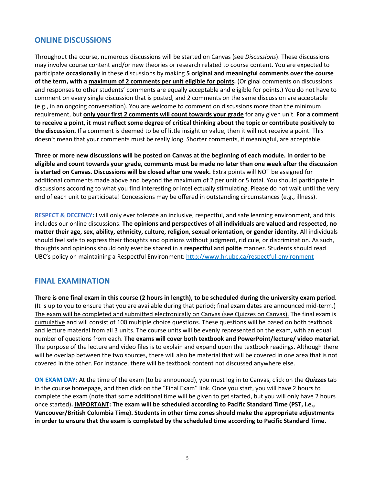#### **ONLINE DISCUSSIONS**

Throughout the course, numerous discussions will be started on Canvas (see *Discussions*). These discussions may involve course content and/or new theories or research related to course content. You are expected to participate **occasionally** in these discussions by making **5 original and meaningful comments over the course of the term, with a maximum of 2 comments per unit eligible for points.** (Original comments on discussions and responses to other students' comments are equally acceptable and eligible for points.) You do not have to comment on every single discussion that is posted, and 2 comments on the same discussion are acceptable (e.g., in an ongoing conversation). You are welcome to comment on discussions more than the minimum requirement, but **only your first 2 comments will count towards your grade** for any given unit. **For a comment to receive a point, it must reflect some degree of critical thinking about the topic or contribute positively to the discussion.** If a comment is deemed to be of little insight or value, then it will not receive a point. This doesn't mean that your comments must be really long. Shorter comments, if meaningful, are acceptable.

**Three or more new discussions will be posted on Canvas at the beginning of each module. In order to be eligible and count towards your grade, comments must be made no later than one week after the discussion is started on Canvas. Discussions will be closed after one week.** Extra points will NOT be assigned for additional comments made above and beyond the maximum of 2 per unit or 5 total. You should participate in discussions according to what you find interesting or intellectually stimulating. Please do not wait until the very end of each unit to participate! Concessions may be offered in outstanding circumstances (e.g., illness).

**RESPECT & DECENCY:** I will only ever tolerate an inclusive, respectful, and safe learning environment, and this includes our online discussions. **The opinions and perspectives of all individuals are valued and respected, no matter their age, sex, ability, ethnicity, culture, religion, sexual orientation, or gender identity.** All individuals should feel safe to express their thoughts and opinions without judgment, ridicule, or discrimination. As such, thoughts and opinions should only ever be shared in a **respectful** and **polite** manner. Students should read UBC's policy on maintaining a Respectful Environment: [http://www.hr.ubc.ca/respectful-environment](http://www.hr.ubc.ca/respectful-environment/)

#### **FINAL EXAMINATION**

**There is one final exam in this course (2 hours in length), to be scheduled during the university exam period.** (It is up to you to ensure that you are available during that period; final exam dates are announced mid-term.) The exam will be completed and submitted electronically on Canvas (see Quizzes on Canvas). The final exam is cumulative and will consist of 100 multiple choice questions. These questions will be based on both textbook and lecture material from all 3 units. The course units will be evenly represented on the exam, with an equal number of questions from each. **The exams will cover both textbook and PowerPoint/lecture/ video material.**  The purpose of the lecture and video files is to explain and expand upon the textbook readings. Although there will be overlap between the two sources, there will also be material that will be covered in one area that is not covered in the other. For instance, there will be textbook content not discussed anywhere else.

**ON EXAM DAY:** At the time of the exam (to be announced), you must log in to Canvas, click on the *Quizzes* tab in the course homepage, and then click on the "Final Exam" link. Once you start, you will have 2 hours to complete the exam (note that some additional time will be given to get started, but you will only have 2 hours once started)**. IMPORTANT: The exam will be scheduled according to Pacific Standard Time (PST, i.e., Vancouver/British Columbia Time). Students in other time zones should make the appropriate adjustments in order to ensure that the exam is completed by the scheduled time according to Pacific Standard Time.**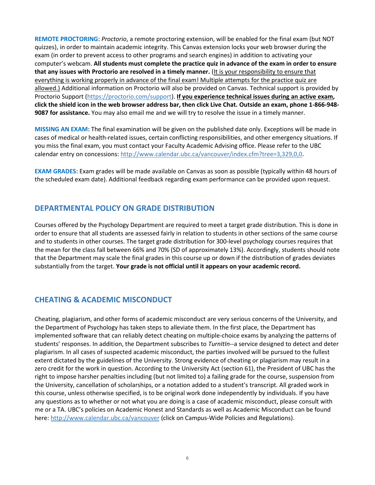**REMOTE PROCTORING:** *Proctorio*, a remote proctoring extension, will be enabled for the final exam (but NOT quizzes), in order to maintain academic integrity. This Canvas extension locks your web browser during the exam (in order to prevent access to other programs and search engines) in addition to activating your computer's webcam. **All students must complete the practice quiz in advance of the exam in order to ensure that any issues with Proctorio are resolved in a timely manner.** (It is your responsibility to ensure that everything is working properly in advance of the final exam! Multiple attempts for the practice quiz are allowed.) Additional information on Proctorio will also be provided on Canvas. Technical support is provided by Proctorio Support [\(https://proctorio.com/support\)](https://proctorio.com/support). **If you experience technical issues during an active exam, click the shield icon in the web browser address bar, then click Live Chat. Outside an exam, phone 1-866-948- 9087 for assistance.** You may also email me and we will try to resolve the issue in a timely manner.

**MISSING AN EXAM:** The final examination will be given on the published date only. Exceptions will be made in cases of medical or health-related issues, certain conflicting responsibilities, and other emergency situations. If you miss the final exam, you must contact your Faculty Academic Advising office. Please refer to the UBC calendar entry on concessions: [http://www.calendar.ubc.ca/vancouver/index.cfm?tree=3,329,0,0.](http://www.calendar.ubc.ca/vancouver/index.cfm?tree=3,329,0,0)

**EXAM GRADES:** Exam grades will be made available on Canvas as soon as possible (typically within 48 hours of the scheduled exam date). Additional feedback regarding exam performance can be provided upon request.

#### **DEPARTMENTAL POLICY ON GRADE DISTRIBUTION**

Courses offered by the Psychology Department are required to meet a target grade distribution. This is done in order to ensure that all students are assessed fairly in relation to students in other sections of the same course and to students in other courses. The target grade distribution for 300-level psychology courses requires that the mean for the class fall between 66% and 70% (SD of approximately 13%). Accordingly, students should note that the Department may scale the final grades in this course up or down if the distribution of grades deviates substantially from the target. **Your grade is not official until it appears on your academic record.**

### **CHEATING & ACADEMIC MISCONDUCT**

Cheating, plagiarism, and other forms of academic misconduct are very serious concerns of the University, and the Department of Psychology has taken steps to alleviate them. In the first place, the Department has implemented software that can reliably detect cheating on multiple-choice exams by analyzing the patterns of students' responses. In addition, the Department subscribes to *TurnItIn*--a service designed to detect and deter plagiarism. In all cases of suspected academic misconduct, the parties involved will be pursued to the fullest extent dictated by the guidelines of the University. Strong evidence of cheating or plagiarism may result in a zero credit for the work in question. According to the University Act (section 61), the President of UBC has the right to impose harsher penalties including (but not limited to) a failing grade for the course, suspension from the University, cancellation of scholarships, or a notation added to a student's transcript. All graded work in this course, unless otherwise specified, is to be original work done independently by individuals. If you have any questions as to whether or not what you are doing is a case of academic misconduct, please consult with me or a TA. UBC's policies on Academic Honest and Standards as well as Academic Misconduct can be found here: [http://www.calendar.ubc.ca/vancouver](http://www.calendar.ubc.ca/vancouver/) (click on Campus-Wide Policies and Regulations).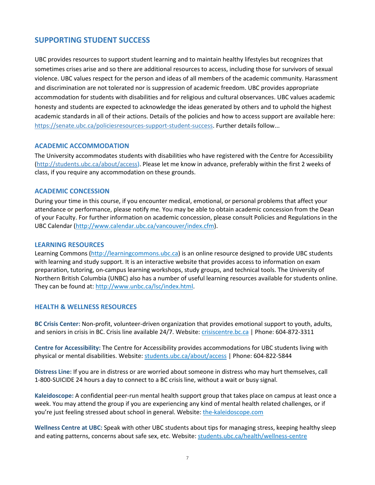#### **SUPPORTING STUDENT SUCCESS**

UBC provides resources to support student learning and to maintain healthy lifestyles but recognizes that sometimes crises arise and so there are additional resources to access, including those for survivors of sexual violence. UBC values respect for the person and ideas of all members of the academic community. Harassment and discrimination are not tolerated nor is suppression of academic freedom. UBC provides appropriate accommodation for students with disabilities and for religious and cultural observances. UBC values academic honesty and students are expected to acknowledge the ideas generated by others and to uphold the highest academic standards in all of their actions. Details of the policies and how to access support are available here: [https://senate.ubc.ca/policiesresources-support-student-success.](https://senate.ubc.ca/policiesresources-support-student-success) Further details follow...

#### **ACADEMIC ACCOMMODATION**

The University accommodates students with disabilities who have registered with the Centre for Accessibility [\(http://students.ubc.ca/about/access\)](http://students.ubc.ca/about/access). Please let me know in advance, preferably within the first 2 weeks of class, if you require any accommodation on these grounds.

#### **ACADEMIC CONCESSION**

During your time in this course, if you encounter medical, emotional, or personal problems that affect your attendance or performance, please notify me. You may be able to obtain academic concession from the Dean of your Faculty. For further information on academic concession, please consult Policies and Regulations in the UBC Calendar [\(http://www.calendar.ubc.ca/vancouver/index.cfm\)](http://www.calendar.ubc.ca/vancouver/index.cfm).

#### **LEARNING RESOURCES**

Learning Commons [\(http://learningcommons.ubc.ca\)](http://learningcommons.ubc.ca/) is an online resource designed to provide UBC students with learning and study support. It is an interactive website that provides access to information on exam preparation, tutoring, on-campus learning workshops, study groups, and technical tools. The University of Northern British Columbia (UNBC) also has a number of useful learning resources available for students online. They can be found at: [http://www.unbc.ca/lsc/index.html.](http://www.unbc.ca/lsc/index.html)

#### **HEALTH & WELLNESS RESOURCES**

**BC Crisis Center:** Non-profit, volunteer-driven organization that provides emotional support to youth, adults, and seniors in crisis in BC. Crisis line available 24/7. Website: crisiscentre.bc.ca | Phone: 604-872-3311

**Centre for Accessibility:** The Centre for Accessibility provides accommodations for UBC students living with physical or mental disabilities. Website: students.ubc.ca/about/access | Phone: 604-822-5844

**Distress Line:** If you are in distress or are worried about someone in distress who may hurt themselves, call 1-800-SUICIDE 24 hours a day to connect to a BC crisis line, without a wait or busy signal.

**Kaleidoscope:** A confidential peer-run mental health support group that takes place on campus at least once a week. You may attend the group if you are experiencing any kind of mental health related challenges, or if you're just feeling stressed about school in general. Website: the-kaleidoscope.com

**Wellness Centre at UBC:** Speak with other UBC students about tips for managing stress, keeping healthy sleep and eating patterns, concerns about safe sex, etc. Website: students.ubc.ca/health/wellness-centre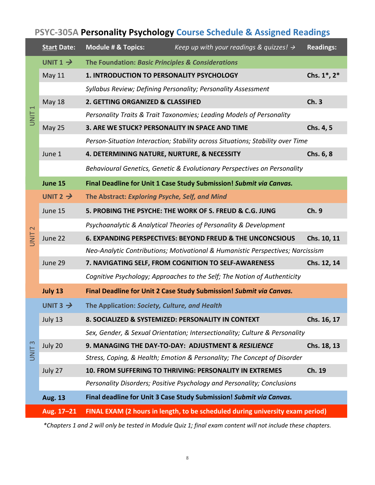# **PSYC-305A Personality Psychology Course Schedule & Assigned Readings**

|                               | <b>Start Date:</b>   | <b>Module # &amp; Topics:</b><br>Keep up with your readings & quizzes! $\rightarrow$ | <b>Readings:</b> |
|-------------------------------|----------------------|--------------------------------------------------------------------------------------|------------------|
| $\overline{ }$<br><b>UNIT</b> | UNIT $1 \rightarrow$ | The Foundation: Basic Principles & Considerations                                    |                  |
|                               | May 11               | <b>1. INTRODUCTION TO PERSONALITY PSYCHOLOGY</b>                                     | Chs. 1*, 2*      |
|                               |                      | Syllabus Review; Defining Personality; Personality Assessment                        |                  |
|                               | <b>May 18</b>        | 2. GETTING ORGANIZED & CLASSIFIED                                                    | Ch.3             |
|                               |                      | Personality Traits & Trait Taxonomies; Leading Models of Personality                 |                  |
|                               | <b>May 25</b>        | 3. ARE WE STUCK? PERSONALITY IN SPACE AND TIME                                       | Chs. 4, 5        |
|                               |                      | Person-Situation Interaction; Stability across Situations; Stability over Time       |                  |
|                               | June 1               | 4. DETERMINING NATURE, NURTURE, & NECESSITY                                          | Chs. 6, 8        |
|                               |                      | Behavioural Genetics, Genetic & Evolutionary Perspectives on Personality             |                  |
|                               | June 15              | Final Deadline for Unit 1 Case Study Submission! Submit via Canvas.                  |                  |
|                               | UNIT 2 $\rightarrow$ | The Abstract: Exploring Psyche, Self, and Mind                                       |                  |
|                               | June 15              | 5. PROBING THE PSYCHE: THE WORK OF S. FREUD & C.G. JUNG                              | Ch. 9            |
| $\mathbf{\Omega}$             |                      | Psychoanalytic & Analytical Theories of Personality & Development                    |                  |
| <b>UNIT</b>                   | June 22              | <b>6. EXPANDING PERSPECTIVES: BEYOND FREUD &amp; THE UNCONCSIOUS</b>                 | Chs. 10, 11      |
|                               |                      | Neo-Analytic Contributions; Motivational & Humanistic Perspectives; Narcissism       |                  |
|                               | June 29              | 7. NAVIGATING SELF, FROM COGNITION TO SELF-AWARENESS                                 | Chs. 12, 14      |
|                               |                      | Cognitive Psychology; Approaches to the Self; The Notion of Authenticity             |                  |
|                               | July 13              | Final Deadline for Unit 2 Case Study Submission! Submit via Canvas.                  |                  |
|                               | UNIT 3 $\rightarrow$ | The Application: Society, Culture, and Health                                        |                  |
|                               | July 13              | 8. SOCIALIZED & SYSTEMIZED: PERSONALITY IN CONTEXT                                   | Chs. 16, 17      |
| UNIT <sub>3</sub>             |                      | Sex, Gender, & Sexual Orientation; Intersectionality; Culture & Personality          |                  |
|                               | July 20              | 9. MANAGING THE DAY-TO-DAY: ADJUSTMENT & RESILIENCE                                  | Chs. 18, 13      |
|                               |                      | Stress, Coping, & Health; Emotion & Personality; The Concept of Disorder             |                  |
|                               | July 27              | 10. FROM SUFFERING TO THRIVING: PERSONALITY IN EXTREMES                              | Ch. 19           |
|                               |                      | Personality Disorders; Positive Psychology and Personality; Conclusions              |                  |
|                               | <b>Aug. 13</b>       | Final deadline for Unit 3 Case Study Submission! Submit via Canvas.                  |                  |
|                               | Aug. 17-21           | FINAL EXAM (2 hours in length, to be scheduled during university exam period)        |                  |

*\*Chapters 1 and 2 will only be tested in Module Quiz 1; final exam content will not include these chapters.*